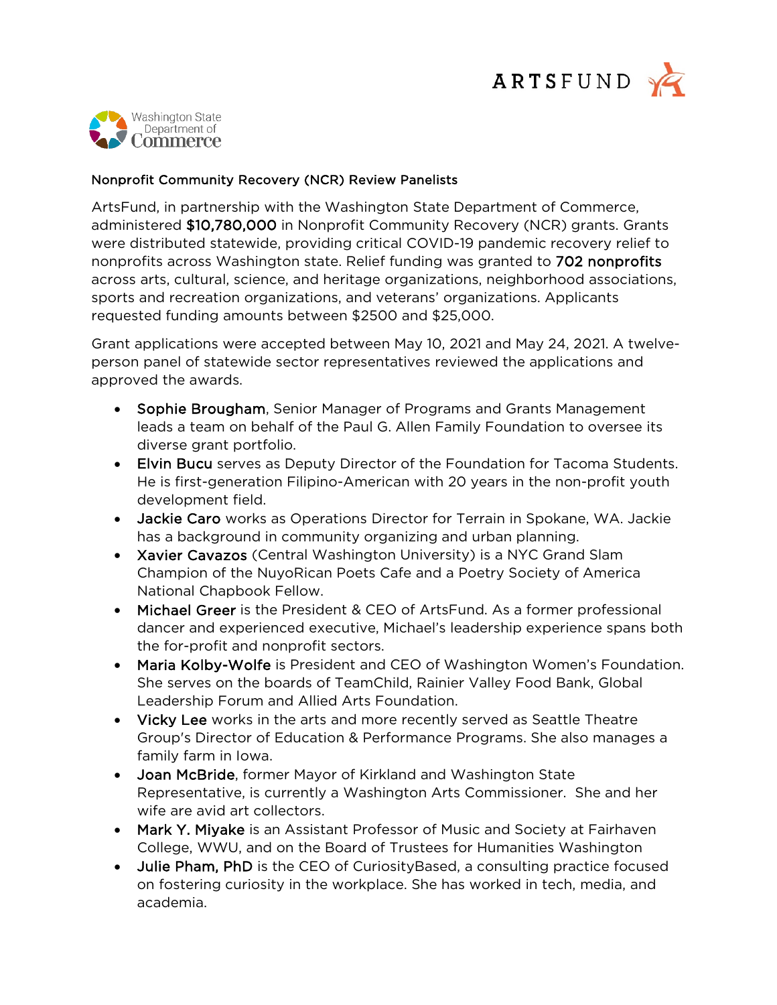



## Nonprofit Community Recovery (NCR) Review Panelists

ArtsFund, in partnership with the Washington State Department of Commerce, administered \$10,780,000 in Nonprofit Community Recovery (NCR) grants. Grants were distributed statewide, providing critical COVID-19 pandemic recovery relief to nonprofits across Washington state. Relief funding was granted to 702 nonprofits across arts, cultural, science, and heritage organizations, neighborhood associations, sports and recreation organizations, and veterans' organizations. Applicants requested funding amounts between \$2500 and \$25,000.

Grant applications were accepted between May 10, 2021 and May 24, 2021. A twelveperson panel of statewide sector representatives reviewed the applications and approved the awards.

- Sophie Brougham, Senior Manager of Programs and Grants Management leads a team on behalf of the Paul G. Allen Family Foundation to oversee its diverse grant portfolio.
- Elvin Bucu serves as Deputy Director of the Foundation for Tacoma Students. He is first-generation Filipino-American with 20 years in the non-profit youth development field.
- Jackie Caro works as Operations Director for Terrain in Spokane, WA. Jackie has a background in community organizing and urban planning.
- Xavier Cavazos (Central Washington University) is a NYC Grand Slam Champion of the NuyoRican Poets Cafe and a Poetry Society of America National Chapbook Fellow.
- Michael Greer is the President & CEO of ArtsFund. As a former professional dancer and experienced executive, Michael's leadership experience spans both the for-profit and nonprofit sectors.
- Maria Kolby-Wolfe is President and CEO of Washington Women's Foundation. She serves on the boards of TeamChild, Rainier Valley Food Bank, Global Leadership Forum and Allied Arts Foundation.
- Vicky Lee works in the arts and more recently served as Seattle Theatre Group's Director of Education & Performance Programs. She also manages a family farm in Iowa.
- Joan McBride, former Mayor of Kirkland and Washington State Representative, is currently a Washington Arts Commissioner. She and her wife are avid art collectors.
- Mark Y. Miyake is an Assistant Professor of Music and Society at Fairhaven College, WWU, and on the Board of Trustees for Humanities Washington
- Julie Pham, PhD is the CEO of CuriosityBased, a consulting practice focused on fostering curiosity in the workplace. She has worked in tech, media, and academia.